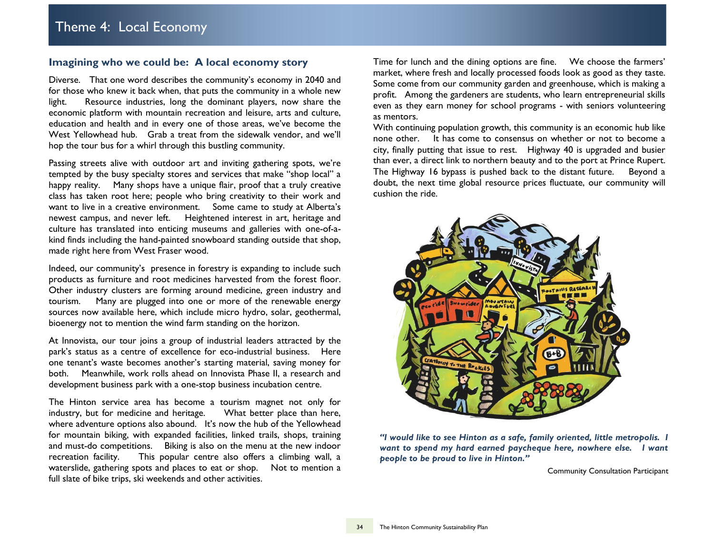#### **Imagining who we could be: A local economy story**

Diverse. That one word describes the community's economy in 2040 and for those who knew it back when, that puts the community in a whole new light. Resource industries, long the dominant players, now share the economic platform with mountain recreation and leisure, arts and culture, education and health and in every one of those areas, we've become the West Yellowhead hub. Grab a treat from the sidewalk vendor, and we'll hop the tour bus for a whirl through this bustling community.

Passing streets alive with outdoor art and inviting gathering spots, we're tempted by the busy specialty stores and services that make "shop local" a happy reality. Many shops have a unique flair, proof that a truly creative class has taken root here; people who bring creativity to their work and want to live in a creative environment. Some came to study at Alberta's newest campus, and never left. Heightened interest in art, heritage and culture has translated into enticing museums and galleries with one-of-akind finds including the hand-painted snowboard standing outside that shop, made right here from West Fraser wood.

Indeed, our community's presence in forestry is expanding to include such products as furniture and root medicines harvested from the forest floor. Other industry clusters are forming around medicine, green industry and tourism. Many are plugged into one or more of the renewable energy sources now available here, which include micro hydro, solar, geothermal, bioenergy not to mention the wind farm standing on the horizon.

At Innovista, our tour joins a group of industrial leaders attracted by the park's status as a centre of excellence for eco-industrial business. Here one tenant's waste becomes another's starting material, saving money for both. Meanwhile, work rolls ahead on Innovista Phase II, a research and development business park with a one-stop business incubation centre.

The Hinton service area has become a tourism magnet not only for industry, but for medicine and heritage. What better place than here, where adventure options also abound. It's now the hub of the Yellowhead for mountain biking, with expanded facilities, linked trails, shops, training and must-do competitions. Biking is also on the menu at the new indoor recreation facility. This popular centre also offers a climbing wall, a waterslide, gathering spots and places to eat or shop. Not to mention a full slate of bike trips, ski weekends and other activities.

Time for lunch and the dining options are fine. We choose the farmers' market, where fresh and locally processed foods look as good as they taste. Some come from our community garden and greenhouse, which is making a profit. Among the gardeners are students, who learn entrepreneurial skills even as they earn money for school programs - with seniors volunteering as mentors.

With continuing population growth, this community is an economic hub like none other. It has come to consensus on whether or not to become a city, finally putting that issue to rest. Highway 40 is upgraded and busier than ever, a direct link to northern beauty and to the port at Prince Rupert. The Highway 16 bypass is pushed back to the distant future. Beyond a doubt, the next time global resource prices fluctuate, our community will cushion the ride.



*"I would like to see Hinton as a safe, family oriented, little metropolis. I want to spend my hard earned paycheque here, nowhere else. I want people to be proud to live in Hinton."*

**Community Consultation Participant**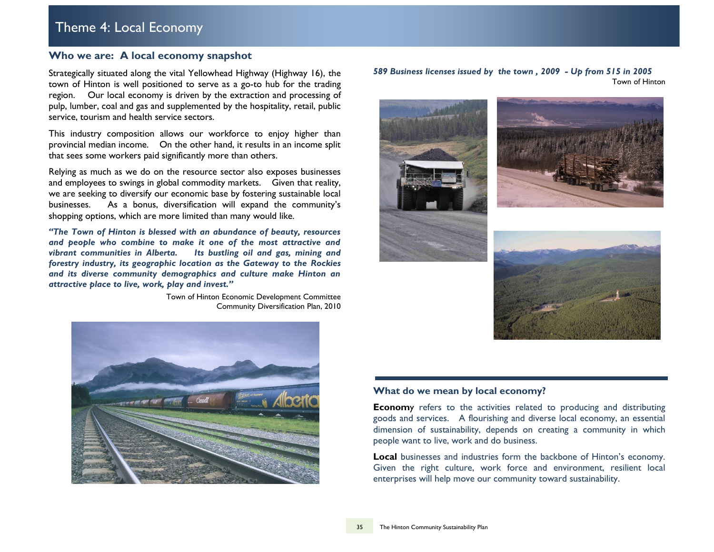# Theme 4: Local Economy

# **Who we are: A local economy snapshot**

Strategically situated along the vital Yellowhead Highway (Highway 16), the town of Hinton is well positioned to serve as a go-to hub for the trading region. Our local economy is driven by the extraction and processing of pulp, lumber, coal and gas and supplemented by the hospitality, retail, public service, tourism and health service sectors.

This industry composition allows our workforce to enjoy higher than provincial median income. On the other hand, it results in an income split that sees some workers paid significantly more than others.

Relying as much as we do on the resource sector also exposes businesses and employees to swings in global commodity markets. Given that reality, we are seeking to diversify our economic base by fostering sustainable local businesses. As a bonus, diversification will expand the community's shopping options, which are more limited than many would like.

*"The Town of Hinton is blessed with an abundance of beauty, resources and people who combine to make it one of the most attractive and vibrant communities in Alberta. Its bustling oil and gas, mining and forestry industry, its geographic location as the Gateway to the Rockies and its diverse community demographics and culture make Hinton an attractive place to live, work, play and invest."*

> Town of Hinton Economic Development Committee Community Diversification Plan, 2010











#### **What do we mean by local economy?**

**Econom**y refers to the activities related to producing and distributing goods and services. A flourishing and diverse local economy, an essential dimension of sustainability, depends on creating a community in which people want to live, work and do business.

**Local** businesses and industries form the backbone of Hinton's economy. Given the right culture, work force and environment, resilient local enterprises will help move our community toward sustainability.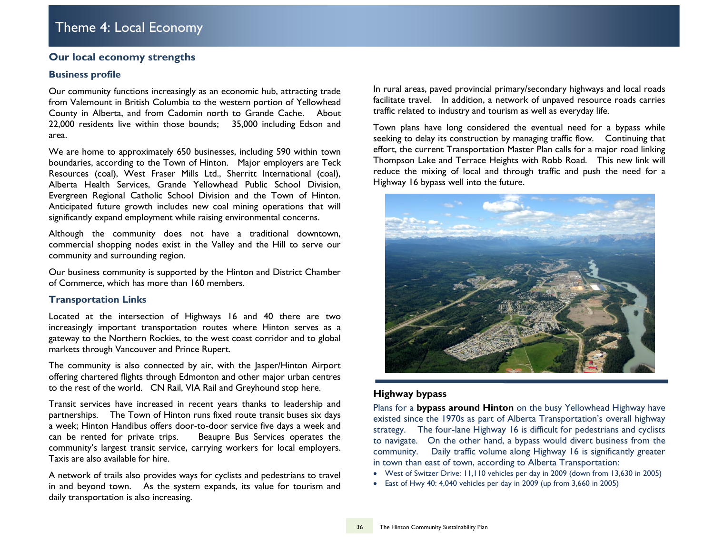# **Our local economy strengths**

### **Business profile**

Our community functions increasingly as an economic hub, attracting trade from Valemount in British Columbia to the western portion of Yellowhead County in Alberta, and from Cadomin north to Grande Cache. About 22,000 residents live within those bounds; 35,000 including Edson and area.

We are home to approximately 650 businesses, including 590 within town boundaries, according to the Town of Hinton. Major employers are Teck Resources (coal), West Fraser Mills Ltd., Sherritt International (coal), Alberta Health Services, Grande Yellowhead Public School Division, Evergreen Regional Catholic School Division and the Town of Hinton. Anticipated future growth includes new coal mining operations that will significantly expand employment while raising environmental concerns.

Although the community does not have a traditional downtown, commercial shopping nodes exist in the Valley and the Hill to serve our community and surrounding region.

Our business community is supported by the Hinton and District Chamber of Commerce, which has more than 160 members.

### **Transportation Links**

Located at the intersection of Highways 16 and 40 there are two increasingly important transportation routes where Hinton serves as a gateway to the Northern Rockies, to the west coast corridor and to global markets through Vancouver and Prince Rupert.

The community is also connected by air, with the Jasper/Hinton Airport offering chartered flights through Edmonton and other major urban centres to the rest of the world. CN Rail, VIA Rail and Greyhound stop here.

Transit services have increased in recent years thanks to leadership and partnerships. The Town of Hinton runs fixed route transit buses six days a week; Hinton Handibus offers door-to-door service five days a week and can be rented for private trips. Beaupre Bus Services operates the community's largest transit service, carrying workers for local employers. Taxis are also available for hire.

A network of trails also provides ways for cyclists and pedestrians to travel in and beyond town. As the system expands, its value for tourism and daily transportation is also increasing.

In rural areas, paved provincial primary/secondary highways and local roads facilitate travel. In addition, a network of unpaved resource roads carries traffic related to industry and tourism as well as everyday life.

Town plans have long considered the eventual need for a bypass while seeking to delay its construction by managing traffic flow. Continuing that effort, the current Transportation Master Plan calls for a major road linking Thompson Lake and Terrace Heights with Robb Road. This new link will reduce the mixing of local and through traffic and push the need for a Highway 16 bypass well into the future.



# **Highway bypass**

Plans for a **bypass around Hinton** on the busy Yellowhead Highway have existed since the 1970s as part of Alberta Transportation's overall highway strategy. The four-lane Highway 16 is difficult for pedestrians and cyclists to navigate. On the other hand, a bypass would divert business from the community. Daily traffic volume along Highway 16 is significantly greater in town than east of town, according to Alberta Transportation:

- West of Switzer Drive: 11,110 vehicles per day in 2009 (down from 13,630 in 2005)
- East of Hwy 40: 4,040 vehicles per day in 2009 (up from 3,660 in 2005)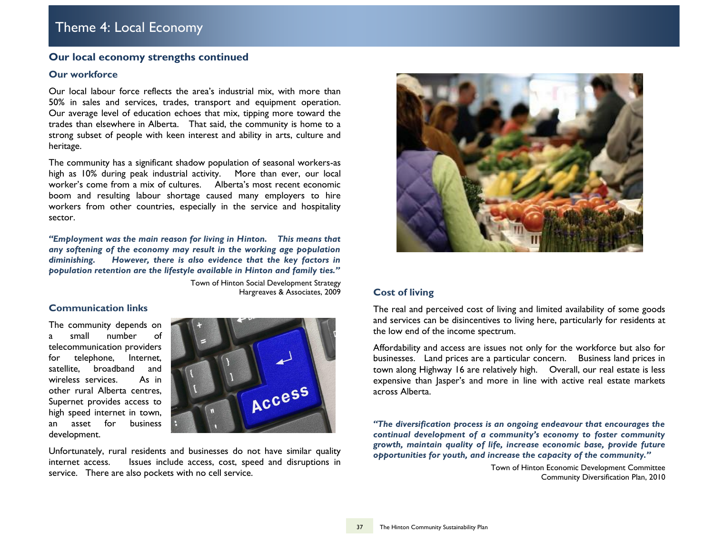# **Our local economy strengths continued**

#### **Our workforce**

Our local labour force reflects the area's industrial mix, with more than 50% in sales and services, trades, transport and equipment operation. Our average level of education echoes that mix, tipping more toward the trades than elsewhere in Alberta. That said, the community is home to a strong subset of people with keen interest and ability in arts, culture and heritage.

The community has a significant shadow population of seasonal workers-as high as 10% during peak industrial activity. More than ever, our local worker's come from a mix of cultures. Alberta's most recent economic boom and resulting labour shortage caused many employers to hire workers from other countries, especially in the service and hospitality sector.

*"Employment was the main reason for living in Hinton. This means that any softening of the economy may result in the working age population diminishing. However, there is also evidence that the key factors in population retention are the lifestyle available in Hinton and family ties."*

> Town of Hinton Social Development Strategy Hargreaves & Associates, 2009

#### **Communication links**

The community depends on a small number of telecommunication providers for telephone, Internet, satellite, broadband and wireless services As in other rural Alberta centres, Supernet provides access to high speed internet in town, an asset for business development.



Unfortunately, rural residents and businesses do not have similar quality internet access. Issues include access, cost, speed and disruptions in service. There are also pockets with no cell service.



## **Cost of living**

The real and perceived cost of living and limited availability of some goods and services can be disincentives to living here, particularly for residents at the low end of the income spectrum.

Affordability and access are issues not only for the workforce but also for businesses. Land prices are a particular concern. Business land prices in town along Highway 16 are relatively high. Overall, our real estate is less expensive than Jasper's and more in line with active real estate markets across Alberta.

*"The diversification process is an ongoing endeavour that encourages the continual development of a community's economy to foster community growth, maintain quality of life, increase economic base, provide future opportunities for youth, and increase the capacity of the community."*

> Town of Hinton Economic Development Committee Community Diversification Plan, 2010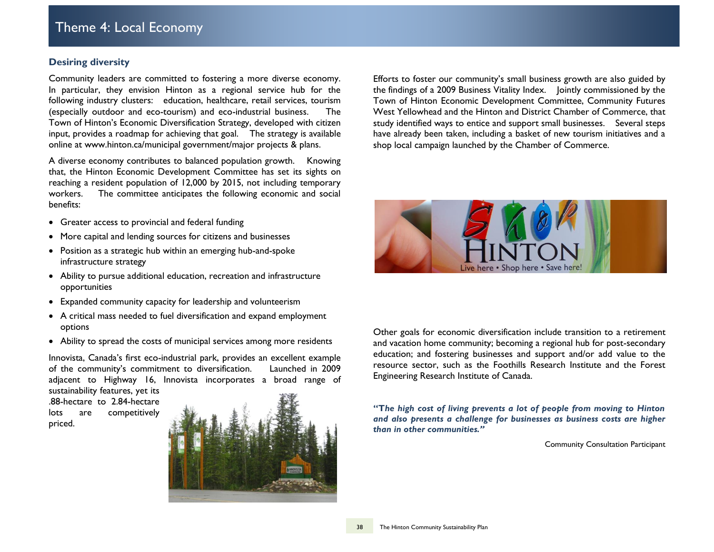## **Desiring diversity**

Community leaders are committed to fostering a more diverse economy. In particular, they envision Hinton as a regional service hub for the following industry clusters: education, healthcare, retail services, tourism (especially outdoor and eco-tourism) and eco-industrial business. The Town of Hinton's Economic Diversification Strategy, developed with citizen input, provides a roadmap for achieving that goal. The strategy is available online at www.hinton.ca/municipal government/major projects & plans.

A diverse economy contributes to balanced population growth. Knowing that, the Hinton Economic Development Committee has set its sights on reaching a resident population of 12,000 by 2015, not including temporary workers. The committee anticipates the following economic and social benefits:

- Greater access to provincial and federal funding
- More capital and lending sources for citizens and businesses
- Position as a strategic hub within an emerging hub-and-spoke infrastructure strategy
- Ability to pursue additional education, recreation and infrastructure opportunities
- Expanded community capacity for leadership and volunteerism
- A critical mass needed to fuel diversification and expand employment options
- Ability to spread the costs of municipal services among more residents

Innovista, Canada's first eco-industrial park, provides an excellent example of the community's commitment to diversification. Launched in 2009 adjacent to Highway 16, Innovista incorporates a broad range of

sustainability features, yet its .88-hectare to 2.84-hectare lots are competitively priced.



Efforts to foster our community's small business growth are also guided by the findings of a 2009 Business Vitality Index. Jointly commissioned by the Town of Hinton Economic Development Committee, Community Futures West Yellowhead and the Hinton and District Chamber of Commerce, that study identified ways to entice and support small businesses. Several steps have already been taken, including a basket of new tourism initiatives and a shop local campaign launched by the Chamber of Commerce.



Other goals for economic diversification include transition to a retirement and vacation home community; becoming a regional hub for post-secondary education; and fostering businesses and support and/or add value to the resource sector, such as the Foothills Research Institute and the Forest Engineering Research Institute of Canada.

**"T***he high cost of living prevents a lot of people from moving to Hinton and also presents a challenge for businesses as business costs are higher than in other communities."*

Community Consultation Participant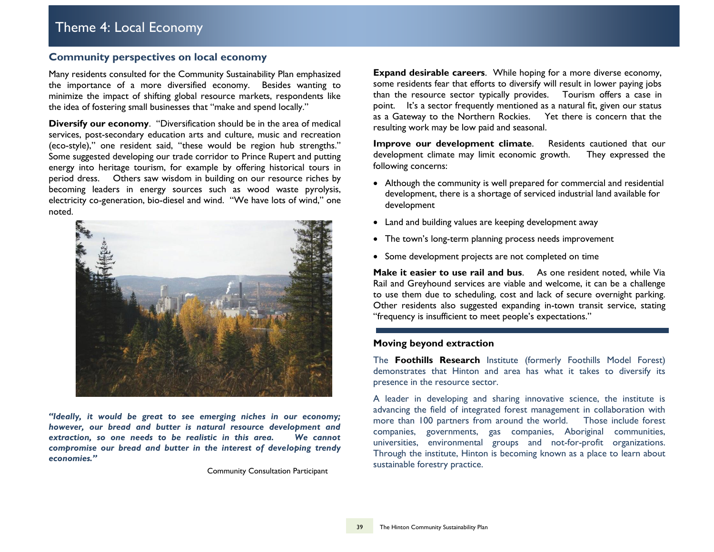# **Community perspectives on local economy**

Many residents consulted for the Community Sustainability Plan emphasized the importance of a more diversified economy. Besides wanting to minimize the impact of shifting global resource markets, respondents like the idea of fostering small businesses that "make and spend locally."

**Diversify our economy**. "Diversification should be in the area of medical services, post-secondary education arts and culture, music and recreation (eco-style)," one resident said, "these would be region hub strengths." Some suggested developing our trade corridor to Prince Rupert and putting energy into heritage tourism, for example by offering historical tours in period dress. Others saw wisdom in building on our resource riches by becoming leaders in energy sources such as wood waste pyrolysis, electricity co-generation, bio-diesel and wind. "We have lots of wind," one noted.



*"Ideally, it would be great to see emerging niches in our economy; however, our bread and butter is natural resource development and extraction, so one needs to be realistic in this area. We cannot compromise our bread and butter in the interest of developing trendy economies."*

Community Consultation Participant

**Expand desirable careers**. While hoping for a more diverse economy, some residents fear that efforts to diversify will result in lower paying jobs than the resource sector typically provides. Tourism offers a case in point. It's a sector frequently mentioned as a natural fit, given our status as a Gateway to the Northern Rockies. Yet there is concern that the resulting work may be low paid and seasonal.

**Improve our development climate.** Residents cautioned that our development climate may limit economic growth. They expressed the following concerns:

- Although the community is well prepared for commercial and residential development, there is a shortage of serviced industrial land available for development
- Land and building values are keeping development away
- The town's long-term planning process needs improvement
- Some development projects are not completed on time

Make it easier to use rail and bus. As one resident noted, while Via Rail and Greyhound services are viable and welcome, it can be a challenge to use them due to scheduling, cost and lack of secure overnight parking. Other residents also suggested expanding in-town transit service, stating "frequency is insufficient to meet people's expectations."

#### **Moving beyond extraction**

The **Foothills Research** Institute (formerly Foothills Model Forest) demonstrates that Hinton and area has what it takes to diversify its presence in the resource sector.

A leader in developing and sharing innovative science, the institute is advancing the field of integrated forest management in collaboration with more than 100 partners from around the world. Those include forest companies, governments, gas companies, Aboriginal communities, universities, environmental groups and not-for-profit organizations. Through the institute, Hinton is becoming known as a place to learn about sustainable forestry practice.